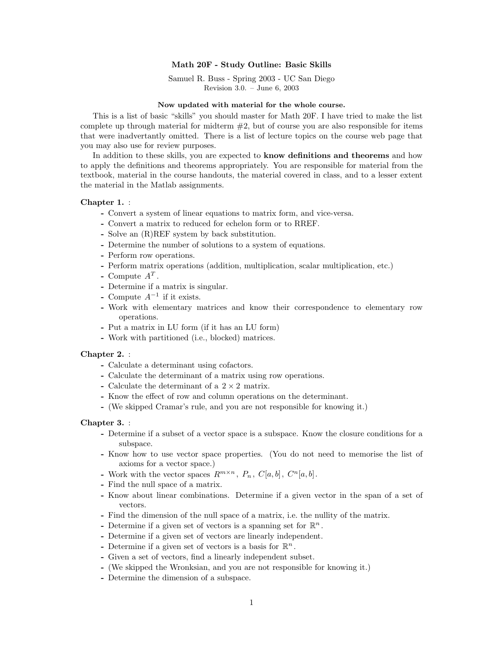# **Math 20F - Study Outline: Basic Skills**

Samuel R. Buss - Spring 2003 - UC San Diego Revision 3.0. – June 6, 2003

### **Now updated with material for the whole course.**

This is a list of basic "skills" you should master for Math 20F. I have tried to make the list complete up through material for midterm  $#2$ , but of course you are also responsible for items that were inadvertantly omitted. There is a list of lecture topics on the course web page that you may also use for review purposes.

In addition to these skills, you are expected to **know definitions and theorems** and how to apply the definitions and theorems appropriately. You are responsible for material from the textbook, material in the course handouts, the material covered in class, and to a lesser extent the material in the Matlab assignments.

# **Chapter 1.** :

- **-** Convert a system of linear equations to matrix form, and vice-versa.
- **-** Convert a matrix to reduced for echelon form or to RREF.
- **-** Solve an (R)REF system by back substitution.
- **-** Determine the number of solutions to a system of equations.
- **-** Perform row operations.
- **-** Perform matrix operations (addition, multiplication, scalar multiplication, etc.)
- Compute  $A^T$ .
- **-** Determine if a matrix is singular.
- **-** Compute A−<sup>1</sup> if it exists.
- **-** Work with elementary matrices and know their correspondence to elementary row operations.
- **-** Put a matrix in LU form (if it has an LU form)
- **-** Work with partitioned (i.e., blocked) matrices.

# **Chapter 2.** :

- **-** Calculate a determinant using cofactors.
- **-** Calculate the determinant of a matrix using row operations.
- **-** Calculate the determinant of a 2 <sup>×</sup> 2 matrix.
- **-** Know the effect of row and column operations on the determinant.
- **-** (We skipped Cramar's rule, and you are not responsible for knowing it.)

#### **Chapter 3.** :

- **-** Determine if a subset of a vector space is a subspace. Know the closure conditions for a subspace.
- **-** Know how to use vector space properties. (You do not need to memorise the list of axioms for a vector space.)
- Work with the vector spaces  $R^{m \times n}$ ,  $P_n$ ,  $C[a, b]$ ,  $C^n[a, b]$ .
- **-** Find the null space of a matrix.
- **-** Know about linear combinations. Determine if a given vector in the span of a set of vectors.
- **-** Find the dimension of the null space of a matrix, i.e. the nullity of the matrix.
- **-** Determine if a given set of vectors is a spanning set for  $\mathbb{R}^n$ .
- **-** Determine if a given set of vectors are linearly independent.
- **-** Determine if a given set of vectors is a basis for  $\mathbb{R}^n$ .
- **-** Given a set of vectors, find a linearly independent subset.
- **-** (We skipped the Wronksian, and you are not responsible for knowing it.)
- **-** Determine the dimension of a subspace.